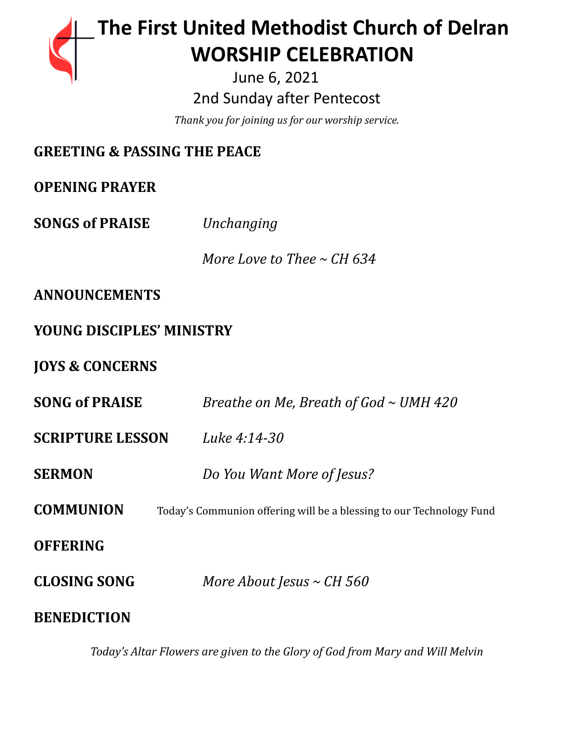# **The First United Methodist Church of Delran …… … WORSHIP CELEBRATION**

June 6, 2021 2nd Sunday after Pentecost

*Thank you for joining us for our worship service.*

# **GREETING & PASSING THE PEACE**

**OPENING PRAYER**

**SONGS of PRAISE** *Unchanging*

*More Love to Thee ~ CH 634*

## **ANNOUNCEMENTS**

# **YOUNG DISCIPLES' MINISTRY**

## **JOYS & CONCERNS**

| <b>SONG of PRAISE</b>   | Breathe on Me, Breath of God $\sim$ UMH 420                          |
|-------------------------|----------------------------------------------------------------------|
| <b>SCRIPTURE LESSON</b> | Luke 4:14-30                                                         |
| <b>SERMON</b>           | Do You Want More of Jesus?                                           |
| <b>COMMUNION</b>        | Today's Communion offering will be a blessing to our Technology Fund |
| <b>OFFERING</b>         |                                                                      |
| <b>CLOSING SONG</b>     | More About Jesus $\sim$ CH 560                                       |
| <b>BENEDICTION</b>      |                                                                      |

*Today's Altar Flowers are given to the Glory of God from Mary and Will Melvin*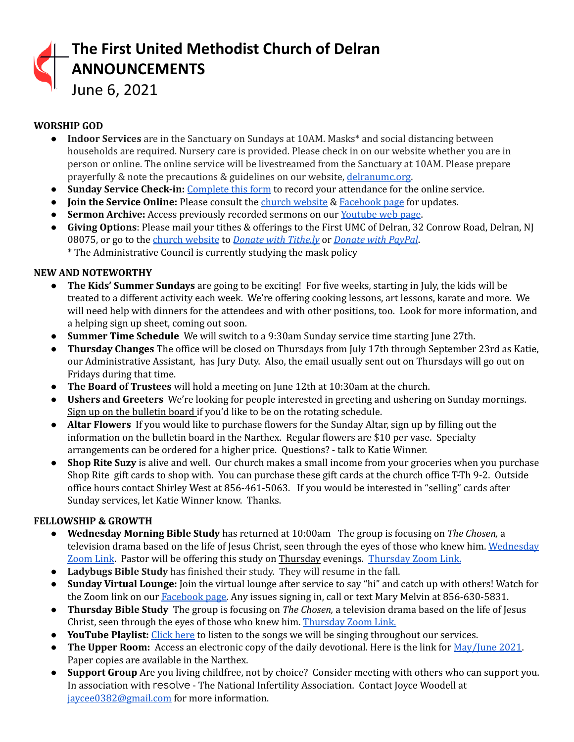

## **WORSHIP GOD**

- **Indoor Services** are in the Sanctuary on Sundays at 10AM. Masks\* and social distancing between households are required. Nursery care is provided. Please check in on our website whether you are in person or online. The online service will be livestreamed from the Sanctuary at 10AM. Please prepare prayerfully & note the precautions & guidelines on our website, [delranumc.org](http://www.delranumc.org).
- **Sunday Service Check-in:** [Complete](https://forms.gle/2MxBkhaYGvKQZRcc9) this form to record your attendance for the online service.
- **● Join the Service Online:** Please consult the church [website](http://www.delranumc.org) & [Facebook](https://www.facebook.com/FirstUnitedMethodistChurch.Delran) page for updates.
- **Sermon Archive:** Access previously recorded sermons on our [Youtube](https://www.youtube.com/results?search_query=delran+first+umc+channel) web page.
- **Giving Options**: Please mail your tithes & offerings to the First UMC of Delran, 32 Conrow Road, Delran, NJ 08075, or go to the church [website](http://www.delranumc.org) to *Donate with [Tithe.ly](https://tithe.ly/give?c=1379451)* or *[Donate](https://www.paypal.com/donate/?token=JgyQQyCzJSzuWb-4M_kVuUa8ORCkKdbhPebT-DwrySzFpiafxE6LsZCirp50sAsR0jT_60&country.x=US&locale.x=) with PayPal*.
	- \* The Administrative Council is currently studying the mask policy

### **NEW AND NOTEWORTHY**

- **● The Kids' Summer Sundays** are going to be exciting! For five weeks, starting in July, the kids will be treated to a different activity each week. We're offering cooking lessons, art lessons, karate and more. We will need help with dinners for the attendees and with other positions, too. Look for more information, and a helping sign up sheet, coming out soon.
- **● Summer Time Schedule** We will switch to a 9:30am Sunday service time starting June 27th.
- **Thursday Changes** The office will be closed on Thursdays from July 17th through September 23rd as Katie, our Administrative Assistant, has Jury Duty. Also, the email usually sent out on Thursdays will go out on Fridays during that time.
- **● The Board of Trustees** will hold a meeting on June 12th at 10:30am at the church.
- **● Ushers and Greeters** We're looking for people interested in greeting and ushering on Sunday mornings. Sign up on the bulletin board if you'd like to be on the rotating schedule.
- **● Altar Flowers** If you would like to purchase flowers for the Sunday Altar, sign up by filling out the information on the bulletin board in the Narthex. Regular flowers are \$10 per vase. Specialty arrangements can be ordered for a higher price. Questions? - talk to Katie Winner.
- **● Shop Rite Suzy** is alive and well. Our church makes a small income from your groceries when you purchase Shop Rite gift cards to shop with. You can purchase these gift cards at the church office T-Th 9-2. Outside office hours contact Shirley West at 856-461-5063. If you would be interested in "selling" cards after Sunday services, let Katie Winner know. Thanks.

## **FELLOWSHIP & GROWTH**

- **● Wednesday Morning Bible Study** has returned at 10:00am The group is focusing on *The Chosen,* a television drama based on the life of Jesus Christ, seen through the eyes of those who knew him. [Wednesday](https://us02web.zoom.us/j/83299668925?pwd=R09VZzEvellRdnpsemtaQzJocW1nUT09) [Zoom](https://us02web.zoom.us/j/83299668925?pwd=R09VZzEvellRdnpsemtaQzJocW1nUT09) Link. Pastor will be offering this study on Thursday evenings. [Thursday](https://us02web.zoom.us/j/86724526082?pwd=Yk1aT0N6ajRzcUF6KzdhT05VU0k3Zz09) Zoom Link.
- **● Ladybugs Bible Study** has finished their study. They will resume in the fall.
- **● Sunday Virtual Lounge:** Join the virtual lounge after service to say "hi" and catch up with others! Watch for the Zoom link on our [Facebook](https://www.facebook.com/FirstUnitedMethodistChurch.Delran) page. Any issues signing in, call or text Mary Melvin at 856-630-5831.
- **Thursday Bible Study** The group is focusing on *The Chosen,* a television drama based on the life of Jesus Christ, seen through the eyes of those who knew him. [Thursday](https://us02web.zoom.us/j/86724526082?pwd=Yk1aT0N6ajRzcUF6KzdhT05VU0k3Zz09) Zoom Link.
- **● YouTube Playlist:** [Click](https://www.youtube.com/watch?v=lJJQjFnX0nk&list=PL76HlEzH6SKYV7jHyH7qBV7M1G3TK8-OK) here to listen to the songs we will be singing throughout our services.
- **The Upper Room:** Access an electronic copy of the daily devotional. Here is the link for [May/June](https://destination-site-production.s3.amazonaws.com/covers/URE_May-June2021.pdf) 2021. Paper copies are available in the Narthex.
- **Support Group** Are you living childfree, not by choice? Consider meeting with others who can support you. In association with resolve - The National Infertility Association. Contact Joyce Woodell at [jaycee0382@gmail.com](mailto:jaycee0382@gmail.com) for more information.